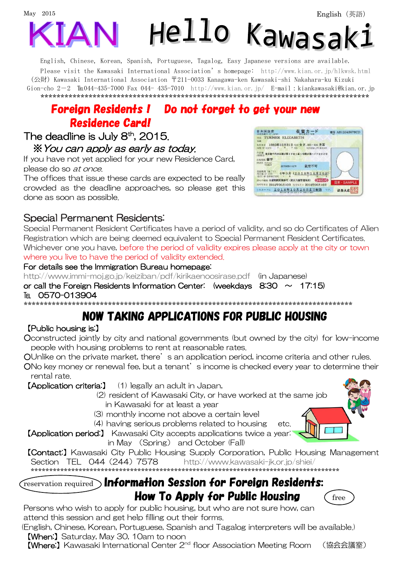

English, Chinese, Korean, Spanish, Portuguese, Tagalog, Easy Japanese versions are available. Please visit the Kawasaki International Association's homepage: http://www.kian.or.jp/hlkwsk.html (公財) Kawasaki International Association 〒211-0033 Kanagawa-ken Kawasaki-shi Nakahara-ku Kizuki Gion-cho 2-2 TE044-435-7000 Fax 044-435-7010 http://www.kian.or.jp/ E-mail:kiankawasaki@kian.or.jp 

# **Foreian Residents ! Do not forget to get your new Residence Card!**

### The deadline is July  $8<sup>th</sup>$ , 2015. \* You can apply as early as today.

If you have not yet applied for your new Residence Card. please do so at once.

The offices that issue these cards are expected to be really crowded as the deadline approaches, so please get this done as soon as possible.

| 日本国政府                                           | 在留カード                                                                   |       | 품목 AB12345678CD |
|-------------------------------------------------|-------------------------------------------------------------------------|-------|-----------------|
| <b>166 TURNER ELIZABETH</b><br><b>NAME</b>      |                                                                         |       |                 |
| 制作其目<br><b>NTE-DE NEMTE</b>                     | 1985年12月31日 231 女 F. NH · BR 米国<br>100<br><b>MATERIAL IT'S BOX LESS</b> |       |                 |
|                                                 | 東京都千代津区都が書きてはし新きが講座場へイアミの2分                                             |       |                 |
| SHOK 留学                                         |                                                                         |       |                 |
| STATE follows                                   | 鼠前不可                                                                    |       |                 |
| <b>K2300 KP 959</b><br><b>GATE OF EQUIATION</b> | 年3月 (2018年10月20日)                                                       |       |                 |
| WYの知知 在装取開発業許可 (契約入国管理局長)                       | 再可年月日 2014年05月10日 女生+1 H 2014年06月10日                                    | OMOIO | 見本·SAMPLE       |
|                                                 | このA-4に 2018年10月20日まで有効                                                  |       | 读器大日            |

## **Special Permanent Residents:**

Special Permanent Resident Certificates have a period of validity, and so do Certificates of Alien Registration which are being deemed equivalent to Special Permanent Resident Certificates. Whichever one you have, before the period of validity expires please apply at the city or town where you live to have the period of validity extended.

#### For details see the Immigration Bureau homepage:

http://www.immi-moj.go.jp/keiziban/pdf/kirikaenoosirase.pdf (in Japanese) or call the Foreign Residents Information Center: (weekdays  $8.30 \sim 17.15$ ) TFI 0570-013904 

# **NOW TAKING APPLICATIONS FOR PUBLIC HOUSING**

### [Public housing is:]

Oconstructed jointly by city and national governments (but owned by the city) for low-income people with housing problems to rent at reasonable rates.

OUnlike on the private market, there's an application period, income criteria and other rules. ONo key money or renewal fee, but a tenant's income is checked every year to determine their rental rate.

(1) legally an adult in Japan. [Application criteria:] (2) resident of Kawasaki City, or have worked at the same job in Kawasaki for at least a year (3) monthly income not above a certain level

(4) having serious problems related to housing etc.

[Application period:] Kawasaki City accepts applications twice a year. in May (Spring) and October (Fall)



**[Contact:]** Kawasaki City Public Housing Supply Corporation, Public Housing Management Section TEL 044 (244) 7578 http://www.kawasaki-jk.or.jp/shiei/ 

#### $\circ$  Information Session for Foreign Residents: reservation required **How To Apply for Public Housing**



Persons who wish to apply for public housing, but who are not sure how, can attend this session and get help filling out their forms.

(English, Chinese, Korean, Portuguese, Spanish and Tagalog interpreters will be available.) [When:] Saturday, May 30, 10am to noon

[Where:] Kawasaki International Center 2<sup>nd</sup> floor Association Meeting Room (協会会議室)